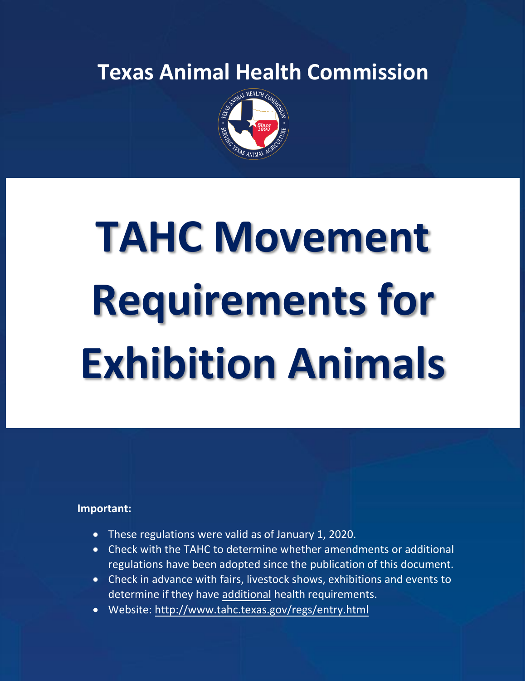**Texas Animal Health Commission**



# **TAHC Movement Requirements for Exhibition Animals**

#### **Important:**

- These regulations were valid as of January 1, 2020.
- Check with the TAHC to determine whether amendments or additional regulations have been adopted since the publication of this document.
- Check in advance with fairs, livestock shows, exhibitions and events to determine if they have additional health requirements.
- Website:<http://www.tahc.texas.gov/regs/entry.html>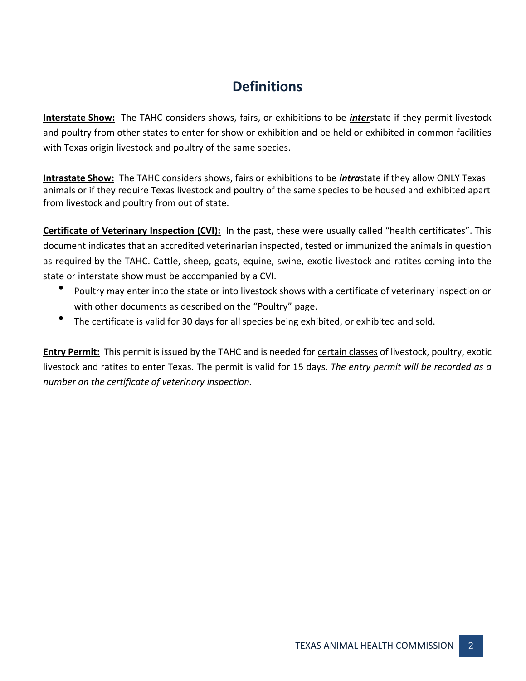#### **Definitions**

**Interstate Show:** The TAHC considers shows, fairs, or exhibitions to be *inter*state if they permit livestock and poultry from other states to enter for show or exhibition and be held or exhibited in common facilities with Texas origin livestock and poultry of the same species.

**Intrastate Show:** The TAHC considers shows, fairs or exhibitions to be *intra*state if they allow ONLY Texas animals or if they require Texas livestock and poultry of the same species to be housed and exhibited apart from livestock and poultry from out of state.

**Certificate of Veterinary Inspection (CVI):** In the past, these were usually called "health certificates". This document indicates that an accredited veterinarian inspected, tested or immunized the animals in question as required by the TAHC. Cattle, sheep, goats, equine, swine, exotic livestock and ratites coming into the state or interstate show must be accompanied by a CVI.

- Poultry may enter into the state or into livestock shows with a certificate of veterinary inspection or with other documents as described on the "Poultry" page.
- The certificate is valid for 30 days for all species being exhibited, or exhibited and sold.

**Entry Permit:** This permit is issued by the TAHC and is needed for certain classes of livestock, poultry, exotic livestock and ratites to enter Texas. The permit is valid for 15 days. *The entry permit will be recorded as a number on the certificate of veterinary inspection.*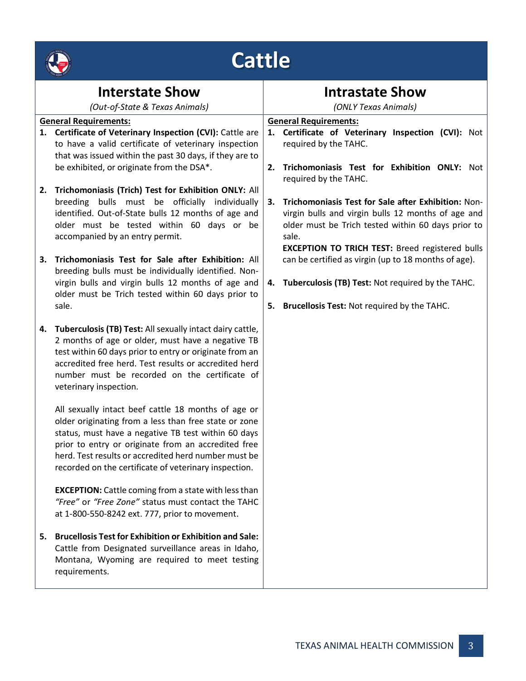|                  | <b>WEALTH COME</b> |
|------------------|--------------------|
|                  |                    |
|                  | Ma ce<br>7892      |
| <b>READANTIN</b> | ø                  |

## **Cattle**

|                              | <b>Interstate Show</b><br>(Out-of-State & Texas Animals)                                                                                                                                                                                                                                                                                    |                              | <b>Intrastate Show</b><br>(ONLY Texas Animals)                                                                                                                              |  |
|------------------------------|---------------------------------------------------------------------------------------------------------------------------------------------------------------------------------------------------------------------------------------------------------------------------------------------------------------------------------------------|------------------------------|-----------------------------------------------------------------------------------------------------------------------------------------------------------------------------|--|
| <b>General Requirements:</b> |                                                                                                                                                                                                                                                                                                                                             | <b>General Requirements:</b> |                                                                                                                                                                             |  |
|                              | 1. Certificate of Veterinary Inspection (CVI): Cattle are<br>to have a valid certificate of veterinary inspection<br>that was issued within the past 30 days, if they are to                                                                                                                                                                |                              | 1. Certificate of Veterinary Inspection (CVI): Not<br>required by the TAHC.                                                                                                 |  |
|                              | be exhibited, or originate from the DSA*.                                                                                                                                                                                                                                                                                                   | 2.                           | Trichomoniasis Test for Exhibition ONLY: Not<br>required by the TAHC.                                                                                                       |  |
|                              | 2. Trichomoniasis (Trich) Test for Exhibition ONLY: All<br>breeding bulls must be officially individually                                                                                                                                                                                                                                   | 3.                           | Trichomoniasis Test for Sale after Exhibition: Non-                                                                                                                         |  |
|                              | identified. Out-of-State bulls 12 months of age and<br>older must be tested within 60 days or be<br>accompanied by an entry permit.                                                                                                                                                                                                         |                              | virgin bulls and virgin bulls 12 months of age and<br>older must be Trich tested within 60 days prior to<br>sale.<br><b>EXCEPTION TO TRICH TEST: Breed registered bulls</b> |  |
| 3.                           | Trichomoniasis Test for Sale after Exhibition: All<br>breeding bulls must be individually identified. Non-                                                                                                                                                                                                                                  |                              | can be certified as virgin (up to 18 months of age).                                                                                                                        |  |
|                              | virgin bulls and virgin bulls 12 months of age and<br>older must be Trich tested within 60 days prior to                                                                                                                                                                                                                                    |                              | 4. Tuberculosis (TB) Test: Not required by the TAHC.                                                                                                                        |  |
|                              | sale.                                                                                                                                                                                                                                                                                                                                       | 5.                           | Brucellosis Test: Not required by the TAHC.                                                                                                                                 |  |
|                              | 4. Tuberculosis (TB) Test: All sexually intact dairy cattle,<br>2 months of age or older, must have a negative TB<br>test within 60 days prior to entry or originate from an<br>accredited free herd. Test results or accredited herd<br>number must be recorded on the certificate of<br>veterinary inspection.                            |                              |                                                                                                                                                                             |  |
|                              | All sexually intact beef cattle 18 months of age or<br>older originating from a less than free state or zone<br>status, must have a negative TB test within 60 days<br>prior to entry or originate from an accredited free<br>herd. Test results or accredited herd number must be<br>recorded on the certificate of veterinary inspection. |                              |                                                                                                                                                                             |  |
|                              | <b>EXCEPTION:</b> Cattle coming from a state with less than<br>"Free" or "Free Zone" status must contact the TAHC<br>at 1-800-550-8242 ext. 777, prior to movement.                                                                                                                                                                         |                              |                                                                                                                                                                             |  |
| 5.                           | <b>Brucellosis Test for Exhibition or Exhibition and Sale:</b><br>Cattle from Designated surveillance areas in Idaho,<br>Montana, Wyoming are required to meet testing<br>requirements.                                                                                                                                                     |                              |                                                                                                                                                                             |  |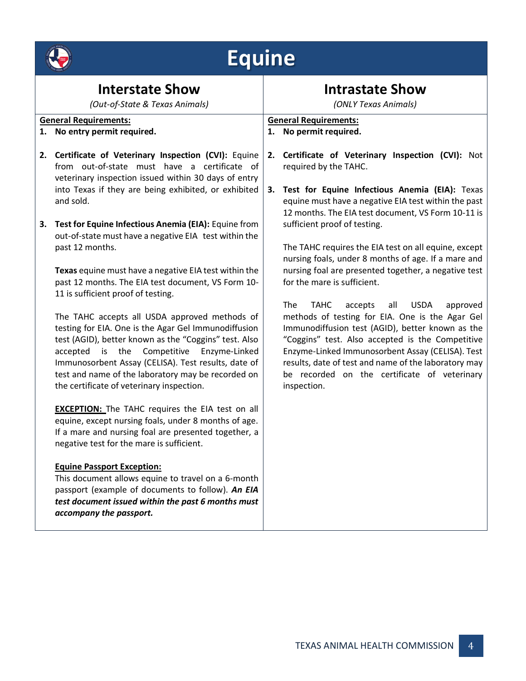| <b>REALTH COMP</b><br>Ince<br>1893 |  |
|------------------------------------|--|
| TE RUS ANDEN<br>ηĢ                 |  |

# **Equine**

| <b>Interstate Show</b>         |                                                                                                                                                                                                                                                                                                                                                                       | <b>Intrastate Show</b>       |                                                                                                                                                                                                                                                                                                                                    |  |
|--------------------------------|-----------------------------------------------------------------------------------------------------------------------------------------------------------------------------------------------------------------------------------------------------------------------------------------------------------------------------------------------------------------------|------------------------------|------------------------------------------------------------------------------------------------------------------------------------------------------------------------------------------------------------------------------------------------------------------------------------------------------------------------------------|--|
| (Out-of-State & Texas Animals) |                                                                                                                                                                                                                                                                                                                                                                       | (ONLY Texas Animals)         |                                                                                                                                                                                                                                                                                                                                    |  |
| <b>General Requirements:</b>   |                                                                                                                                                                                                                                                                                                                                                                       | <b>General Requirements:</b> |                                                                                                                                                                                                                                                                                                                                    |  |
| 1.                             | No entry permit required.                                                                                                                                                                                                                                                                                                                                             | 1.                           | No permit required.                                                                                                                                                                                                                                                                                                                |  |
|                                | 2. Certificate of Veterinary Inspection (CVI): Equine<br>from out-of-state must have a certificate of<br>veterinary inspection issued within 30 days of entry<br>into Texas if they are being exhibited, or exhibited<br>and sold.                                                                                                                                    | 2.<br>3.                     | Certificate of Veterinary Inspection (CVI): Not<br>required by the TAHC.<br>Test for Equine Infectious Anemia (EIA): Texas<br>equine must have a negative EIA test within the past                                                                                                                                                 |  |
| 3.                             | Test for Equine Infectious Anemia (EIA): Equine from<br>out-of-state must have a negative EIA test within the<br>past 12 months.                                                                                                                                                                                                                                      |                              | 12 months. The EIA test document, VS Form 10-11 is<br>sufficient proof of testing.<br>The TAHC requires the EIA test on all equine, except<br>nursing foals, under 8 months of age. If a mare and                                                                                                                                  |  |
|                                | Texas equine must have a negative EIA test within the<br>past 12 months. The EIA test document, VS Form 10-<br>11 is sufficient proof of testing.                                                                                                                                                                                                                     |                              | nursing foal are presented together, a negative test<br>for the mare is sufficient.<br>The<br><b>TAHC</b><br>accepts<br>all<br><b>USDA</b><br>approved                                                                                                                                                                             |  |
|                                | The TAHC accepts all USDA approved methods of<br>testing for EIA. One is the Agar Gel Immunodiffusion<br>test (AGID), better known as the "Coggins" test. Also<br>accepted is the Competitive Enzyme-Linked<br>Immunosorbent Assay (CELISA). Test results, date of<br>test and name of the laboratory may be recorded on<br>the certificate of veterinary inspection. |                              | methods of testing for EIA. One is the Agar Gel<br>Immunodiffusion test (AGID), better known as the<br>"Coggins" test. Also accepted is the Competitive<br>Enzyme-Linked Immunosorbent Assay (CELISA). Test<br>results, date of test and name of the laboratory may<br>be recorded on the certificate of veterinary<br>inspection. |  |
|                                | <b>EXCEPTION:</b> The TAHC requires the EIA test on all<br>equine, except nursing foals, under 8 months of age.<br>If a mare and nursing foal are presented together, a<br>negative test for the mare is sufficient.                                                                                                                                                  |                              |                                                                                                                                                                                                                                                                                                                                    |  |
|                                | <b>Equine Passport Exception:</b><br>This document allows equine to travel on a 6-month<br>passport (example of documents to follow). An EIA<br>test document issued within the past 6 months must<br>accompany the passport.                                                                                                                                         |                              |                                                                                                                                                                                                                                                                                                                                    |  |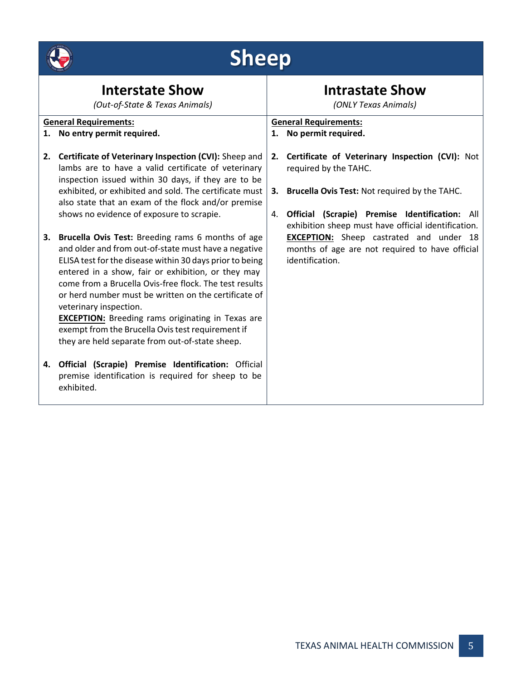

# **Sheep**

| <b>Interstate Show</b><br>(Out-of-State & Texas Animals) |                                                                                                                                                                                                                                                                                                                                                                                                                                                                                                                                                                                          | <b>Intrastate Show</b><br>(ONLY Texas Animals) |                                                                                                                                                                                                                               |
|----------------------------------------------------------|------------------------------------------------------------------------------------------------------------------------------------------------------------------------------------------------------------------------------------------------------------------------------------------------------------------------------------------------------------------------------------------------------------------------------------------------------------------------------------------------------------------------------------------------------------------------------------------|------------------------------------------------|-------------------------------------------------------------------------------------------------------------------------------------------------------------------------------------------------------------------------------|
|                                                          | <b>General Requirements:</b><br>1. No entry permit required.                                                                                                                                                                                                                                                                                                                                                                                                                                                                                                                             |                                                | <b>General Requirements:</b><br>1. No permit required.                                                                                                                                                                        |
| 2.                                                       | Certificate of Veterinary Inspection (CVI): Sheep and<br>lambs are to have a valid certificate of veterinary<br>inspection issued within 30 days, if they are to be<br>exhibited, or exhibited and sold. The certificate must<br>also state that an exam of the flock and/or premise                                                                                                                                                                                                                                                                                                     | 2.<br>3.                                       | Certificate of Veterinary Inspection (CVI): Not<br>required by the TAHC.<br>Brucella Ovis Test: Not required by the TAHC.                                                                                                     |
| 3.                                                       | shows no evidence of exposure to scrapie.<br>Brucella Ovis Test: Breeding rams 6 months of age<br>and older and from out-of-state must have a negative<br>ELISA test for the disease within 30 days prior to being<br>entered in a show, fair or exhibition, or they may<br>come from a Brucella Ovis-free flock. The test results<br>or herd number must be written on the certificate of<br>veterinary inspection.<br><b>EXCEPTION:</b> Breeding rams originating in Texas are<br>exempt from the Brucella Ovis test requirement if<br>they are held separate from out-of-state sheep. | 4.                                             | Official (Scrapie) Premise Identification: All<br>exhibition sheep must have official identification.<br><b>EXCEPTION:</b> Sheep castrated and under 18<br>months of age are not required to have official<br>identification. |
|                                                          | 4. Official (Scrapie) Premise Identification: Official<br>premise identification is required for sheep to be<br>exhibited.                                                                                                                                                                                                                                                                                                                                                                                                                                                               |                                                |                                                                                                                                                                                                                               |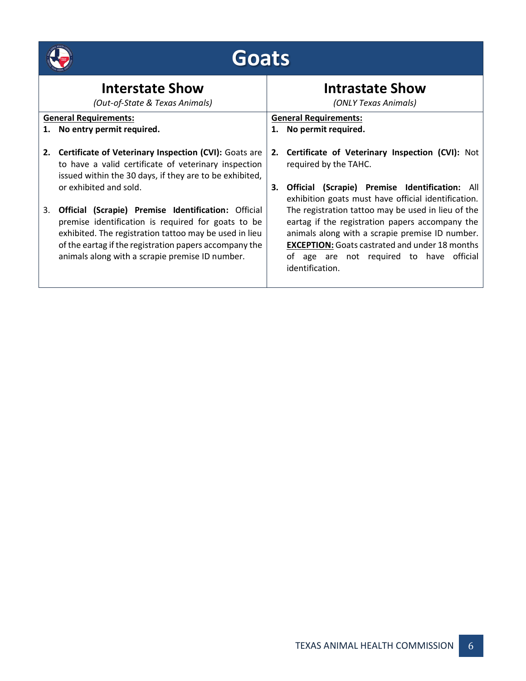|                                                          | Goats                                                                                                                                                                                                                                                                                   |                                                |                                                                                                                                                                                                                                                                                  |
|----------------------------------------------------------|-----------------------------------------------------------------------------------------------------------------------------------------------------------------------------------------------------------------------------------------------------------------------------------------|------------------------------------------------|----------------------------------------------------------------------------------------------------------------------------------------------------------------------------------------------------------------------------------------------------------------------------------|
| <b>Interstate Show</b><br>(Out-of-State & Texas Animals) |                                                                                                                                                                                                                                                                                         | <b>Intrastate Show</b><br>(ONLY Texas Animals) |                                                                                                                                                                                                                                                                                  |
|                                                          | <b>General Requirements:</b><br>1. No entry permit required.                                                                                                                                                                                                                            |                                                | <b>General Requirements:</b><br>1. No permit required.                                                                                                                                                                                                                           |
| 2.                                                       | Certificate of Veterinary Inspection (CVI): Goats are<br>to have a valid certificate of veterinary inspection<br>issued within the 30 days, if they are to be exhibited,<br>or exhibited and sold.                                                                                      | 2.<br>3.                                       | Certificate of Veterinary Inspection (CVI): Not<br>required by the TAHC.<br><b>Official (Scrapie) Premise Identification: All</b><br>exhibition goats must have official identification.                                                                                         |
| 3.                                                       | <b>Official (Scrapie) Premise Identification: Official</b><br>premise identification is required for goats to be<br>exhibited. The registration tattoo may be used in lieu<br>of the eartag if the registration papers accompany the<br>animals along with a scrapie premise ID number. |                                                | The registration tattoo may be used in lieu of the<br>eartag if the registration papers accompany the<br>animals along with a scrapie premise ID number.<br><b>EXCEPTION:</b> Goats castrated and under 18 months<br>of age are not required to have official<br>identification. |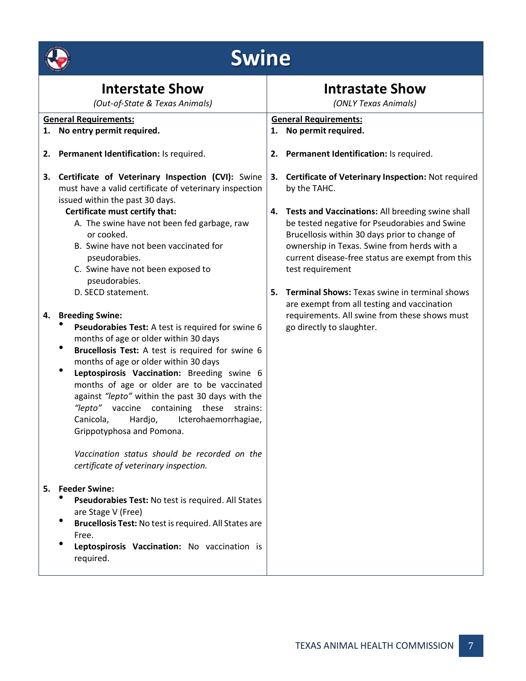|    | <b>Swine</b>                                                                                                                                                                                                                                                                                                                                                                                                                                                                                                                                                                                 |          |                                                                                                                                                                                                                                                                                                                                                                                                                                                           |
|----|----------------------------------------------------------------------------------------------------------------------------------------------------------------------------------------------------------------------------------------------------------------------------------------------------------------------------------------------------------------------------------------------------------------------------------------------------------------------------------------------------------------------------------------------------------------------------------------------|----------|-----------------------------------------------------------------------------------------------------------------------------------------------------------------------------------------------------------------------------------------------------------------------------------------------------------------------------------------------------------------------------------------------------------------------------------------------------------|
|    | <b>Interstate Show</b><br>(Out-of-State & Texas Animals)                                                                                                                                                                                                                                                                                                                                                                                                                                                                                                                                     |          | <b>Intrastate Show</b><br>(ONLY Texas Animals)                                                                                                                                                                                                                                                                                                                                                                                                            |
|    | <b>General Requirements:</b>                                                                                                                                                                                                                                                                                                                                                                                                                                                                                                                                                                 |          | <b>General Requirements:</b>                                                                                                                                                                                                                                                                                                                                                                                                                              |
|    | 1. No entry permit required.                                                                                                                                                                                                                                                                                                                                                                                                                                                                                                                                                                 |          | 1. No permit required.                                                                                                                                                                                                                                                                                                                                                                                                                                    |
|    | 2. Permanent Identification: Is required.                                                                                                                                                                                                                                                                                                                                                                                                                                                                                                                                                    |          | 2. Permanent Identification: Is required.                                                                                                                                                                                                                                                                                                                                                                                                                 |
| 3. | Certificate of Veterinary Inspection (CVI): Swine<br>must have a valid certificate of veterinary inspection<br>issued within the past 30 days.<br>Certificate must certify that:<br>A. The swine have not been fed garbage, raw<br>or cooked.<br>B. Swine have not been vaccinated for<br>pseudorabies.<br>C. Swine have not been exposed to<br>pseudorabies.<br>D. SECD statement.                                                                                                                                                                                                          | 3.<br>5. | Certificate of Veterinary Inspection: Not required<br>by the TAHC.<br>4. Tests and Vaccinations: All breeding swine shall<br>be tested negative for Pseudorabies and Swine<br>Brucellosis within 30 days prior to change of<br>ownership in Texas. Swine from herds with a<br>current disease-free status are exempt from this<br>test requirement<br><b>Terminal Shows: Texas swine in terminal shows</b><br>are exempt from all testing and vaccination |
|    | 4. Breeding Swine:<br>Pseudorabies Test: A test is required for swine 6<br>months of age or older within 30 days<br>٠<br>Brucellosis Test: A test is required for swine 6<br>months of age or older within 30 days<br>٠<br>Leptospirosis Vaccination: Breeding swine 6<br>months of age or older are to be vaccinated<br>against "lepto" within the past 30 days with the<br>vaccine containing these<br>"lepto"<br>strains:<br>Canicola, Hardjo, Icterohaemorrhagiae,<br>Grippotyphosa and Pomona.<br>Vaccination status should be recorded on the<br>certificate of veterinary inspection. |          | requirements. All swine from these shows must<br>go directly to slaughter.                                                                                                                                                                                                                                                                                                                                                                                |
|    | 5. Feeder Swine:<br>Pseudorabies Test: No test is required. All States<br>are Stage V (Free)<br>Brucellosis Test: No test is required. All States are<br>Free.<br>Leptospirosis Vaccination: No vaccination is<br>required.                                                                                                                                                                                                                                                                                                                                                                  |          |                                                                                                                                                                                                                                                                                                                                                                                                                                                           |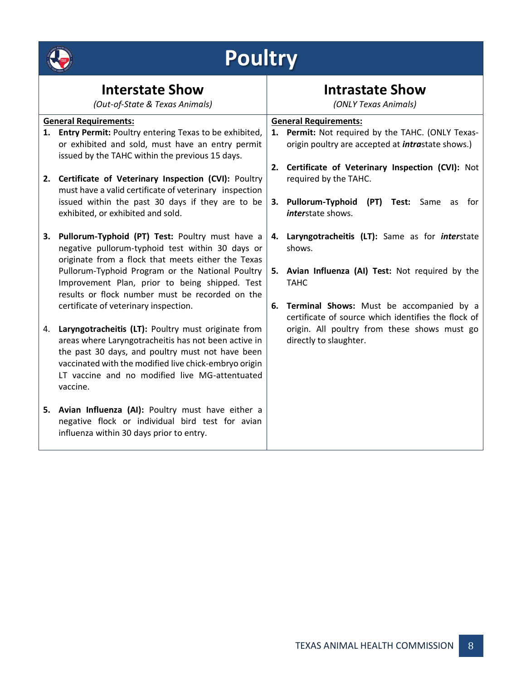

## **Poultry**

| <b>Interstate Show</b><br>(Out-of-State & Texas Animals) |                                                                                                                                                                                                                                                                                        |    | <b>Intrastate Show</b><br>(ONLY Texas Animals)                                                                 |  |  |
|----------------------------------------------------------|----------------------------------------------------------------------------------------------------------------------------------------------------------------------------------------------------------------------------------------------------------------------------------------|----|----------------------------------------------------------------------------------------------------------------|--|--|
|                                                          | <b>General Requirements:</b>                                                                                                                                                                                                                                                           |    | <b>General Requirements:</b>                                                                                   |  |  |
|                                                          | 1. Entry Permit: Poultry entering Texas to be exhibited,<br>or exhibited and sold, must have an entry permit<br>issued by the TAHC within the previous 15 days.                                                                                                                        |    | 1. Permit: Not required by the TAHC. (ONLY Texas-<br>origin poultry are accepted at <i>intrastate shows.</i> ) |  |  |
|                                                          | 2. Certificate of Veterinary Inspection (CVI): Poultry<br>must have a valid certificate of veterinary inspection                                                                                                                                                                       | 2. | Certificate of Veterinary Inspection (CVI): Not<br>required by the TAHC.                                       |  |  |
|                                                          | issued within the past 30 days if they are to be<br>exhibited, or exhibited and sold.                                                                                                                                                                                                  |    | 3. Pullorum-Typhoid<br>(PT) Test: Same<br>for<br>as<br><i>interstate shows.</i>                                |  |  |
| 3.                                                       | Pullorum-Typhoid (PT) Test: Poultry must have a<br>negative pullorum-typhoid test within 30 days or<br>originate from a flock that meets either the Texas                                                                                                                              | 4. | Laryngotracheitis (LT): Same as for interstate<br>shows.                                                       |  |  |
|                                                          | Pullorum-Typhoid Program or the National Poultry<br>Improvement Plan, prior to being shipped. Test<br>results or flock number must be recorded on the                                                                                                                                  |    | 5. Avian Influenza (AI) Test: Not required by the<br><b>TAHC</b>                                               |  |  |
|                                                          | certificate of veterinary inspection.                                                                                                                                                                                                                                                  | 6. | Terminal Shows: Must be accompanied by a<br>certificate of source which identifies the flock of                |  |  |
| 4.                                                       | Laryngotracheitis (LT): Poultry must originate from<br>areas where Laryngotracheitis has not been active in<br>the past 30 days, and poultry must not have been<br>vaccinated with the modified live chick-embryo origin<br>LT vaccine and no modified live MG-attentuated<br>vaccine. |    | origin. All poultry from these shows must go<br>directly to slaughter.                                         |  |  |
|                                                          | 5. Avian Influenza (AI): Poultry must have either a<br>negative flock or individual bird test for avian<br>influenza within 30 days prior to entry.                                                                                                                                    |    |                                                                                                                |  |  |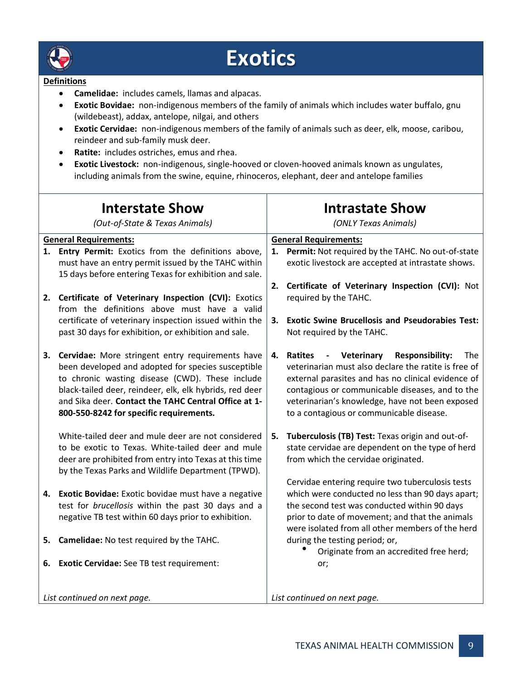

### **Exotics**

#### **Definitions**

- **Camelidae:** includes camels, llamas and alpacas.
- **Exotic Bovidae:** non-indigenous members of the family of animals which includes water buffalo, gnu (wildebeast), addax, antelope, nilgai, and others
- **Exotic Cervidae:** non-indigenous members of the family of animals such as deer, elk, moose, caribou, reindeer and sub-family musk deer.
- **Ratite:** includes ostriches, emus and rhea.
- **Exotic Livestock:** non-indigenous, single-hooved or cloven-hooved animals known as ungulates, including animals from the swine, equine, rhinoceros, elephant, deer and antelope families

| <b>Interstate Show</b><br>(Out-of-State & Texas Animals) |                                                                                                                                                                                                                                                                                                                            | <b>Intrastate Show</b><br>(ONLY Texas Animals) |                                                                                                                                                                                                                                                                                                                                 |  |
|----------------------------------------------------------|----------------------------------------------------------------------------------------------------------------------------------------------------------------------------------------------------------------------------------------------------------------------------------------------------------------------------|------------------------------------------------|---------------------------------------------------------------------------------------------------------------------------------------------------------------------------------------------------------------------------------------------------------------------------------------------------------------------------------|--|
|                                                          | <b>General Requirements:</b>                                                                                                                                                                                                                                                                                               |                                                | <b>General Requirements:</b>                                                                                                                                                                                                                                                                                                    |  |
| 1.                                                       | Entry Permit: Exotics from the definitions above,<br>must have an entry permit issued by the TAHC within<br>15 days before entering Texas for exhibition and sale.                                                                                                                                                         | 1.<br>2.                                       | Permit: Not required by the TAHC. No out-of-state<br>exotic livestock are accepted at intrastate shows.<br>Certificate of Veterinary Inspection (CVI): Not                                                                                                                                                                      |  |
|                                                          | 2. Certificate of Veterinary Inspection (CVI): Exotics<br>from the definitions above must have a valid                                                                                                                                                                                                                     |                                                | required by the TAHC.                                                                                                                                                                                                                                                                                                           |  |
|                                                          | certificate of veterinary inspection issued within the<br>past 30 days for exhibition, or exhibition and sale.                                                                                                                                                                                                             | 3.                                             | <b>Exotic Swine Brucellosis and Pseudorabies Test:</b><br>Not required by the TAHC.                                                                                                                                                                                                                                             |  |
|                                                          | 3. Cervidae: More stringent entry requirements have<br>been developed and adopted for species susceptible<br>to chronic wasting disease (CWD). These include<br>black-tailed deer, reindeer, elk, elk hybrids, red deer<br>and Sika deer. Contact the TAHC Central Office at 1-<br>800-550-8242 for specific requirements. | 4.                                             | Ratites<br>- Veterinary<br><b>Responsibility:</b><br><b>The</b><br>veterinarian must also declare the ratite is free of<br>external parasites and has no clinical evidence of<br>contagious or communicable diseases, and to the<br>veterinarian's knowledge, have not been exposed<br>to a contagious or communicable disease. |  |
|                                                          | White-tailed deer and mule deer are not considered<br>to be exotic to Texas. White-tailed deer and mule<br>deer are prohibited from entry into Texas at this time<br>by the Texas Parks and Wildlife Department (TPWD).                                                                                                    |                                                | 5. Tuberculosis (TB) Test: Texas origin and out-of-<br>state cervidae are dependent on the type of herd<br>from which the cervidae originated.<br>Cervidae entering require two tuberculosis tests                                                                                                                              |  |
|                                                          | 4. Exotic Bovidae: Exotic bovidae must have a negative<br>test for brucellosis within the past 30 days and a<br>negative TB test within 60 days prior to exhibition.                                                                                                                                                       |                                                | which were conducted no less than 90 days apart;<br>the second test was conducted within 90 days<br>prior to date of movement; and that the animals<br>were isolated from all other members of the herd                                                                                                                         |  |
| 5.                                                       | Camelidae: No test required by the TAHC.                                                                                                                                                                                                                                                                                   |                                                | during the testing period; or,<br>Originate from an accredited free herd;                                                                                                                                                                                                                                                       |  |
|                                                          | 6. Exotic Cervidae: See TB test requirement:                                                                                                                                                                                                                                                                               |                                                | or;                                                                                                                                                                                                                                                                                                                             |  |
|                                                          | List continued on next page.                                                                                                                                                                                                                                                                                               |                                                | List continued on next page.                                                                                                                                                                                                                                                                                                    |  |